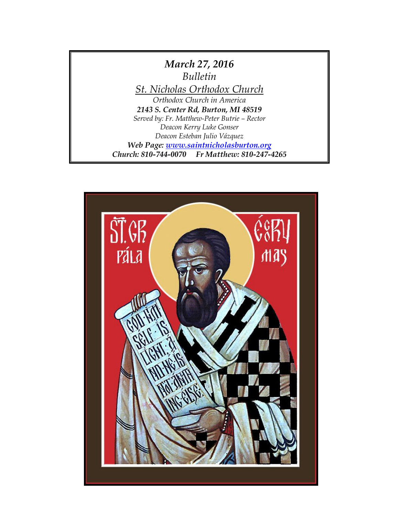

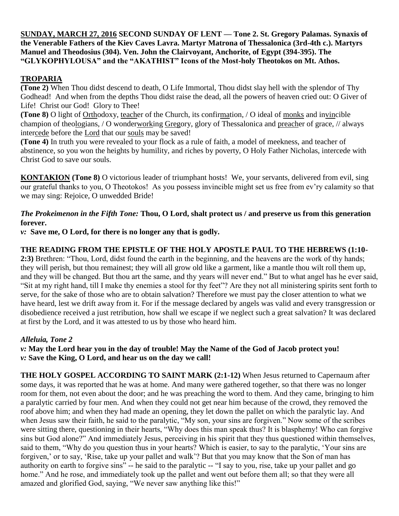**SUNDAY, MARCH 27, 2016 SECOND SUNDAY OF LENT — Tone 2. St. Gregory Palamas. Synaxis of the Venerable Fathers of the Kiev Caves Lavra. Martyr Matrona of Thessalonica (3rd-4th c.). Martyrs Manuel and Theodosius (304). Ven. John the Clairvoyant, Anchorite, of Egypt (394-395). The "GLYKOPHYLOUSA" and the "AKATHIST" Icons of the Most-holy Theotokos on Mt. Athos.**

# **TROPARIA**

**(Tone 2)** When Thou didst descend to death, O Life Immortal, Thou didst slay hell with the splendor of Thy Godhead! And when from the depths Thou didst raise the dead, all the powers of heaven cried out: O Giver of Life! Christ our God! Glory to Thee!

**(Tone 8)** O light of Orthodoxy, teacher of the Church, its confirmation, / O ideal of monks and invincible champion of theologians, / O wonderworking Gregory, glory of Thessalonica and preacher of grace, // always intercede before the Lord that our souls may be saved!

**(Tone 4)** In truth you were revealed to your flock as a rule of faith, a model of meekness, and teacher of abstinence, so you won the heights by humility, and riches by poverty, O Holy Father Nicholas, intercede with Christ God to save our souls.

**KONTAKION (Tone 8)** O victorious leader of triumphant hosts! We, your servants, delivered from evil, sing our grateful thanks to you, O Theotokos! As you possess invincible might set us free from ev'ry calamity so that we may sing: Rejoice, O unwedded Bride!

#### *The Prokeimenon in the Fifth Tone:* **Thou, O Lord, shalt protect us / and preserve us from this generation forever.**

*v:* **Save me, O Lord, for there is no longer any that is godly.**

# **THE READING FROM THE EPISTLE OF THE HOLY APOSTLE PAUL TO THE HEBREWS (1:10-**

**2:3)** Brethren: "Thou, Lord, didst found the earth in the beginning, and the heavens are the work of thy hands; they will perish, but thou remainest; they will all grow old like a garment, like a mantle thou wilt roll them up, and they will be changed. But thou art the same, and thy years will never end." But to what angel has he ever said, "Sit at my right hand, till I make thy enemies a stool for thy feet"? Are they not all ministering spirits sent forth to serve, for the sake of those who are to obtain salvation? Therefore we must pay the closer attention to what we have heard, lest we drift away from it. For if the message declared by angels was valid and every transgression or disobedience received a just retribution, how shall we escape if we neglect such a great salvation? It was declared at first by the Lord, and it was attested to us by those who heard him.

# *Alleluia, Tone 2*

*v:* **May the Lord hear you in the day of trouble! May the Name of the God of Jacob protect you!** *v:* **Save the King, O Lord, and hear us on the day we call!**

**THE HOLY GOSPEL ACCORDING TO SAINT MARK (2:1-12)** When Jesus returned to Capernaum after some days, it was reported that he was at home. And many were gathered together, so that there was no longer room for them, not even about the door; and he was preaching the word to them. And they came, bringing to him a paralytic carried by four men. And when they could not get near him because of the crowd, they removed the roof above him; and when they had made an opening, they let down the pallet on which the paralytic lay. And when Jesus saw their faith, he said to the paralytic, "My son, your sins are forgiven." Now some of the scribes were sitting there, questioning in their hearts, "Why does this man speak thus? It is blasphemy! Who can forgive sins but God alone?" And immediately Jesus, perceiving in his spirit that they thus questioned within themselves, said to them, "Why do you question thus in your hearts? Which is easier, to say to the paralytic, 'Your sins are forgiven,' or to say, 'Rise, take up your pallet and walk'? But that you may know that the Son of man has authority on earth to forgive sins" -- he said to the paralytic -- "I say to you, rise, take up your pallet and go home." And he rose, and immediately took up the pallet and went out before them all; so that they were all amazed and glorified God, saying, "We never saw anything like this!"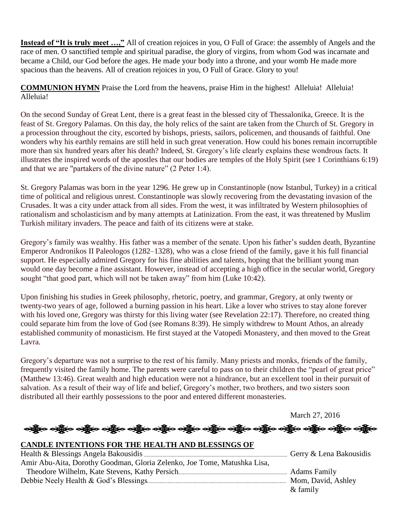**Instead of "It is truly meet …,"** All of creation rejoices in you, O Full of Grace: the assembly of Angels and the race of men. O sanctified temple and spiritual paradise, the glory of virgins, from whom God was incarnate and became a Child, our God before the ages. He made your body into a throne, and your womb He made more spacious than the heavens. All of creation rejoices in you, O Full of Grace. Glory to you!

**COMMUNION HYMN** Praise the Lord from the heavens, praise Him in the highest! Alleluia! Alleluia! Alleluia!

On the second Sunday of Great Lent, there is a great feast in the blessed city of Thessalonika, Greece. It is the feast of St. Gregory Palamas. On this day, the holy relics of the saint are taken from the Church of St. Gregory in a procession throughout the city, escorted by bishops, priests, sailors, policemen, and thousands of faithful. One wonders why his earthly remains are still held in such great veneration. How could his bones remain incorruptible more than six hundred years after his death? Indeed, St. Gregory's life clearly explains these wondrous facts. It illustrates the inspired words of the apostles that our bodies are temples of the Holy Spirit (see 1 Corinthians 6:19) and that we are "partakers of the divine nature" (2 Peter 1:4).

St. Gregory Palamas was born in the year 1296. He grew up in Constantinople (now Istanbul, Turkey) in a critical time of political and religious unrest. Constantinople was slowly recovering from the devastating invasion of the Crusades. It was a city under attack from all sides. From the west, it was infiltrated by Western philosophies of rationalism and scholasticism and by many attempts at Latinization. From the east, it was threatened by Muslim Turkish military invaders. The peace and faith of its citizens were at stake.

Gregory's family was wealthy. His father was a member of the senate. Upon his father's sudden death, Byzantine Emperor Andronikos II Paleologos (1282–1328), who was a close friend of the family, gave it his full financial support. He especially admired Gregory for his fine abilities and talents, hoping that the brilliant young man would one day become a fine assistant. However, instead of accepting a high office in the secular world, Gregory sought "that good part, which will not be taken away" from him (Luke 10:42).

Upon finishing his studies in Greek philosophy, rhetoric, poetry, and grammar, Gregory, at only twenty or twenty-two years of age, followed a burning passion in his heart. Like a lover who strives to stay alone forever with his loved one, Gregory was thirsty for this living water (see Revelation 22:17). Therefore, no created thing could separate him from the love of God (see Romans 8:39). He simply withdrew to Mount Athos, an already established community of monasticism. He first stayed at the Vatopedi Monastery, and then moved to the Great Lavra.

Gregory's departure was not a surprise to the rest of his family. Many priests and monks, friends of the family, frequently visited the family home. The parents were careful to pass on to their children the "pearl of great price" (Matthew 13:46). Great wealth and high education were not a hindrance, but an excellent tool in their pursuit of salvation. As a result of their way of life and belief, Gregory's mother, two brothers, and two sisters soon distributed all their earthly possessions to the poor and entered different monasteries.

March 27, 2016

ဆို့ပြီးဝ သန္တို့လ သန္တြို့လ သန္တြို့လ သန္တြို့လ သန္တြို့လ သန္တြို့လ သန္တြို့လ သန္တြို့လ သန္တြို့လ သန္တြို့လ သ

# **CANDLE INTENTIONS FOR THE HEALTH AND BLESSINGS OF**

Health & Blessings Angela Bakousidis Gerry & Lena Bakousidis Amir Abu-Aita, Dorothy Goodman, Gloria Zelenko, Joe Tome, Matushka Lisa, Theodore Wilhelm, Kate Stevens, Kathy Persich Adams Family Debbie Neely Health & God's Blessings <u>Manuman Momes and Momes and Ashley</u>

& family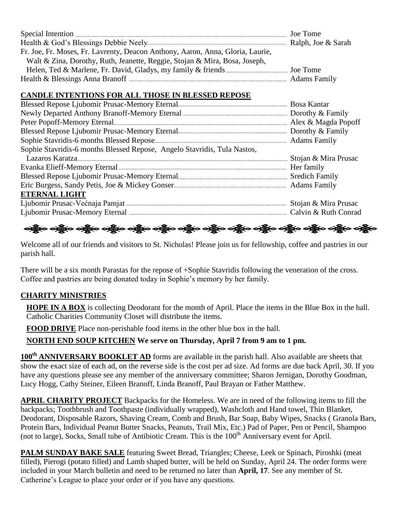| Fr. Joe, Fr. Moses, Fr. Lavrenty, Deacon Anthony, Aaron, Anna, Gloria, Laurie, |  |
|--------------------------------------------------------------------------------|--|
| Walt & Zina, Dorothy, Ruth, Jeanette, Reggie, Stojan & Mira, Bosa, Joseph,     |  |
|                                                                                |  |
|                                                                                |  |
| CANDLE INTENTIONS FOR ALL THOSE IN BLESSED REPOSE                              |  |
|                                                                                |  |
|                                                                                |  |
|                                                                                |  |
|                                                                                |  |
|                                                                                |  |
| Sophie Stavridis-6 months Blessed Repose, Angelo Stavridis, Tula Nastos,       |  |
|                                                                                |  |
|                                                                                |  |
|                                                                                |  |
|                                                                                |  |
| <b>ETERNAL LIGHT</b>                                                           |  |
|                                                                                |  |
|                                                                                |  |



Welcome all of our friends and visitors to St. Nicholas! Please join us for fellowship, coffee and pastries in our parish hall.

There will be a six month Parastas for the repose of +Sophie Stavridis following the veneration of the cross. Coffee and pastries are being donated today in Sophie's memory by her family.

# **CHARITY MINISTRIES**

**HOPE IN A BOX** is collecting Deodorant for the month of April. Place the items in the Blue Box in the hall. Catholic Charities Community Closet will distribute the items.

**FOOD DRIVE** Place non-perishable food items in the other blue box in the hall.

# **NORTH END SOUP KITCHEN We serve on Thursday, April 7 from 9 am to 1 pm.**

**100th ANNIVERSARY BOOKLET AD** forms are available in the parish hall. Also available are sheets that show the exact size of each ad, on the reverse side is the cost per ad size. Ad forms are due back April, 30. If you have any questions please see any member of the anniversary committee; Sharon Jernigan, Dorothy Goodman, Lucy Hogg, Cathy Steiner, Eileen Branoff, Linda Branoff, Paul Brayan or Father Matthew.

**APRIL CHARITY PROJECT** Backpacks for the Homeless. We are in need of the following items to fill the backpacks; Toothbrush and Toothpaste (individually wrapped), Washcloth and Hand towel, Thin Blanket, Deodorant, Disposable Razors, Shaving Cream, Comb and Brush, Bar Soap, Baby Wipes, Snacks ( Granola Bars, Protein Bars, Individual Peanut Butter Snacks, Peanuts, Trail Mix, Etc.) Pad of Paper, Pen or Pencil, Shampoo (not to large), Socks, Small tube of Antibiotic Cream. This is the 100<sup>th</sup> Anniversary event for April.

**PALM SUNDAY BAKE SALE** featuring Sweet Bread, Triangles; Cheese, Leek or Spinach, Piroshki (meat filled), Pierogi (potato filled) and Lamb shaped butter, will be held on Sunday, April 24. The order forms were included in your March bulletin and need to be returned no later than **April, 17**. See any member of St. Catherine's League to place your order or if you have any questions.